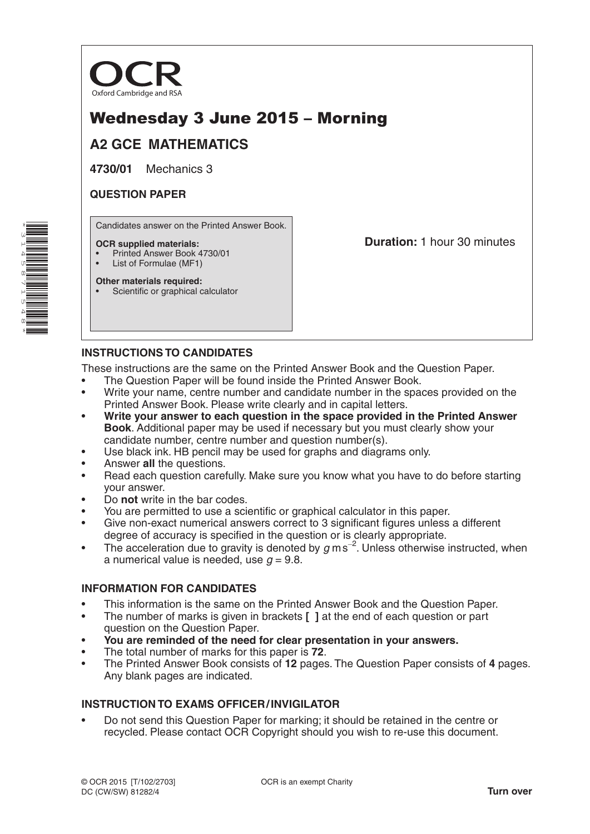

# Wednesday 3 June 2015 – Morning

# **A2 GCE MATHEMATICS**

**4730/01** Mechanics 3

### **QUESTION PAPER**

Candidates answer on the Printed Answer Book.

#### **OCR supplied materials:**

- Printed Answer Book 4730/01
- List of Formulae (MF1) **Other materials required:**

**Duration:** 1 hour 30 minutes

Scientific or graphical calculator

# **INSTRUCTIONS TO CANDIDATES**

These instructions are the same on the Printed Answer Book and the Question Paper.

- The Question Paper will be found inside the Printed Answer Book.
- Write your name, centre number and candidate number in the spaces provided on the Printed Answer Book. Please write clearly and in capital letters.
- **Write your answer to each question in the space provided in the Printed Answer Book**. Additional paper may be used if necessary but you must clearly show your candidate number, centre number and question number(s).
- Use black ink. HB pencil may be used for graphs and diagrams only.
- Answer **all** the questions.
- Read each question carefully. Make sure you know what you have to do before starting your answer.
- Do **not** write in the bar codes.
- You are permitted to use a scientific or graphical calculator in this paper.
- Give non-exact numerical answers correct to 3 significant figures unless a different degree of accuracy is specified in the question or is clearly appropriate.
- The acceleration due to gravity is denoted by *g* ms−<sup>2</sup> . Unless otherwise instructed, when a numerical value is needed, use  $q = 9.8$ .

# **INFORMATION FOR CANDIDATES**

- This information is the same on the Printed Answer Book and the Question Paper.
- The number of marks is given in brackets **[ ]** at the end of each question or part question on the Question Paper.
- **You are reminded of the need for clear presentation in your answers.**
- The total number of marks for this paper is **72**.
- The Printed Answer Book consists of **12** pages. The Question Paper consists of **4** pages. Any blank pages are indicated.

# **INSTRUCTION TO EXAMS OFFICER/INVIGILATOR**

• Do not send this Question Paper for marking; it should be retained in the centre or recycled. Please contact OCR Copyright should you wish to re-use this document.

\*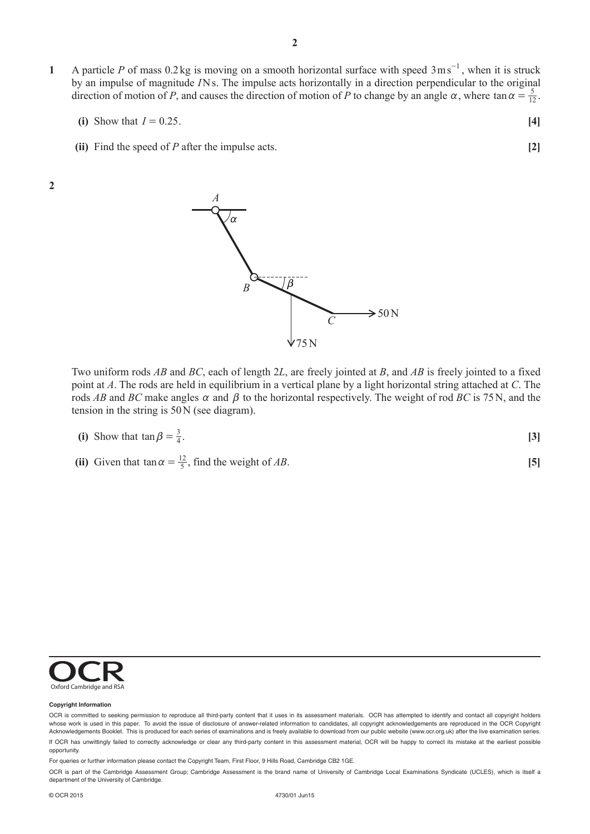- **1** A particle *P* of mass 0.2kg is moving on a smooth horizontal surface with speed  $3 \text{ ms}^{-1}$ , when it is struck by an impulse of magnitude *I*Ns. The impulse acts horizontally in a direction perpendicular to the original direction of motion of *P*, and causes the direction of motion of *P* to change by an angle  $\alpha$ , where tan  $\alpha = \frac{5}{12}$ .
	- **(i)** Show that  $I = 0.25$ . [4]
	- **(ii)** Find the speed of *P* after the impulse acts. **[2]**

**2**



Two uniform rods *AB* and *BC*, each of length 2*L*, are freely jointed at *B*, and *AB* is freely jointed to a fixed point at *A*. The rods are held in equilibrium in a vertical plane by a light horizontal string attached at *C*. The rods *AB* and *BC* make angles  $\alpha$  and  $\beta$  to the horizontal respectively. The weight of rod *BC* is 75N, and the tension in the string is 50N (see diagram).

(i) Show that 
$$
\tan \beta = \frac{3}{4}
$$
. [3]

(ii) Given that  $\tan \alpha = \frac{12}{5}$ , find the weight of *AB*. [5]



#### **Copyright Information**

For queries or further information please contact the Copyright Team, First Floor, 9 Hills Road, Cambridge CB2 1GE.

OCR is part of the Cambridge Assessment Group; Cambridge Assessment is the brand name of University of Cambridge Local Examinations Syndicate (UCLES), which is itself a department of the University of Cambridge.

OCR is committed to seeking permission to reproduce all third-party content that it uses in its assessment materials. OCR has attempted to identify and contact all copyright holders whose work is used in this paper. To avoid the issue of disclosure of answer-related information to candidates, all copyright acknowledgements are reproduced in the OCR Copyright Acknowledgements Booklet. This is produced for each series of examinations and is freely available to download from our public website (www.ocr.org.uk) after the live examination series. If OCR has unwittingly failed to correctly acknowledge or clear any third-party content in this assessment material, OCR will be happy to correct its mistake at the earliest possible opportunity.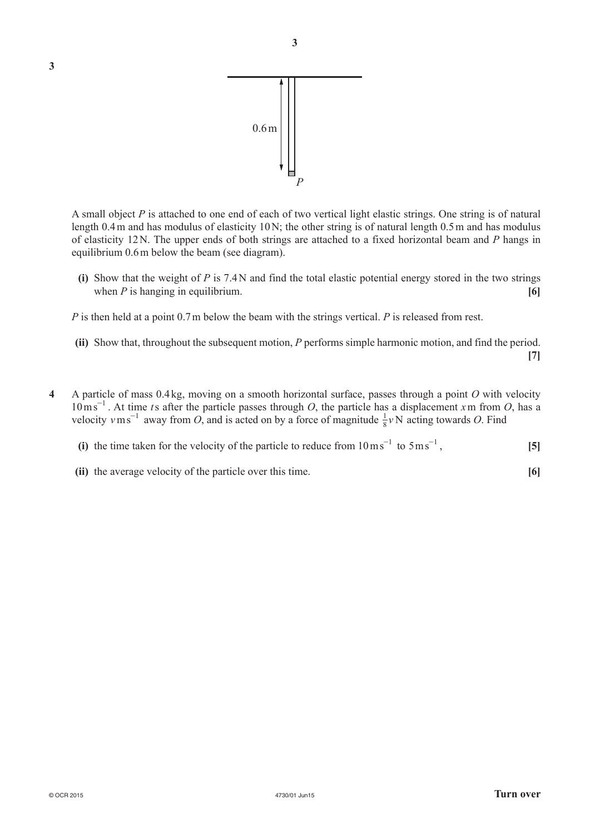

A small object *P* is attached to one end of each of two vertical light elastic strings. One string is of natural length 0.4m and has modulus of elasticity 10N; the other string is of natural length 0.5m and has modulus of elasticity 12N. The upper ends of both strings are attached to a fixed horizontal beam and *P* hangs in equilibrium 0.6m below the beam (see diagram).

**(i)** Show that the weight of *P* is 7.4N and find the total elastic potential energy stored in the two strings when  $P$  is hanging in equilibrium. **[6]**  $\qquad \qquad$  **[6]**  $\qquad \qquad$  **[6]**  $\qquad \qquad$  **[6]**  $\qquad \qquad$  **[6]**  $\qquad \qquad$  **[6]**  $\qquad \qquad$  **[6]**  $\qquad \qquad$  **[6]**  $\qquad \qquad$  **[6]**  $\qquad \qquad$  **[6]**  $\qquad \qquad$  **[6]**  $\qquad \qquad$  **[6]**  $\qquad \qquad$  **[6]** 

*P* is then held at a point 0.7m below the beam with the strings vertical. *P* is released from rest.

- **(ii)** Show that, throughout the subsequent motion, *P* performs simple harmonic motion, and find the period. **[7]**
- 4 A particle of mass 0.4 kg, moving on a smooth horizontal surface, passes through a point O with velocity  $10 \text{ ms}^{-1}$ . At time ts after the particle passes through O, the particle has a displacement x m from O, has a velocity  $v \text{ m s}^{-1}$  away from *O*, and is acted on by a force of magnitude  $\frac{1}{8}v \text{ N}$  acting towards *O*. Find

| (i) the time taken for the velocity of the particle to reduce from $10 \text{ m s}^{-1}$ to $5 \text{ m s}^{-1}$ , |
|--------------------------------------------------------------------------------------------------------------------|
|--------------------------------------------------------------------------------------------------------------------|

**(ii)** the average velocity of the particle over this time. **[6]**